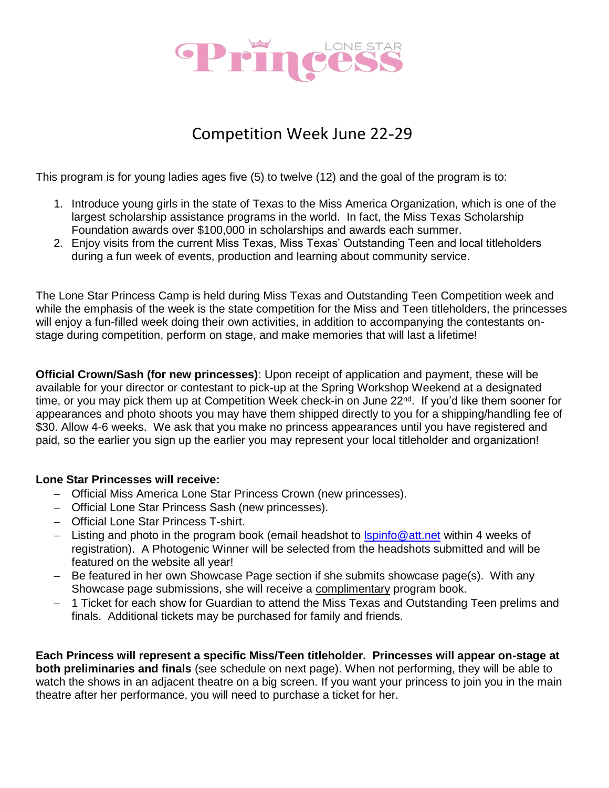

# Competition Week June 22-29

This program is for young ladies ages five (5) to twelve (12) and the goal of the program is to:

- 1. Introduce young girls in the state of Texas to the Miss America Organization, which is one of the largest scholarship assistance programs in the world. In fact, the Miss Texas Scholarship Foundation awards over \$100,000 in scholarships and awards each summer.
- 2. Enjoy visits from the current Miss Texas, Miss Texas' Outstanding Teen and local titleholders during a fun week of events, production and learning about community service.

The Lone Star Princess Camp is held during Miss Texas and Outstanding Teen Competition week and while the emphasis of the week is the state competition for the Miss and Teen titleholders, the princesses will enjoy a fun-filled week doing their own activities, in addition to accompanying the contestants onstage during competition, perform on stage, and make memories that will last a lifetime!

**Official Crown/Sash (for new princesses)**: Upon receipt of application and payment, these will be available for your director or contestant to pick-up at the Spring Workshop Weekend at a designated time, or you may pick them up at Competition Week check-in on June 22<sup>nd</sup>. If you'd like them sooner for appearances and photo shoots you may have them shipped directly to you for a shipping/handling fee of \$30. Allow 4-6 weeks. We ask that you make no princess appearances until you have registered and paid, so the earlier you sign up the earlier you may represent your local titleholder and organization!

#### **Lone Star Princesses will receive:**

- Official Miss America Lone Star Princess Crown (new princesses).
- Official Lone Star Princess Sash (new princesses).
- Official Lone Star Princess T-shirt.
- Listing and photo in the program book (email headshot to  $l$ spinfo@att.net within 4 weeks of registration). A Photogenic Winner will be selected from the headshots submitted and will be featured on the website all year!
- $-$  Be featured in her own Showcase Page section if she submits showcase page(s). With any Showcase page submissions, she will receive a complimentary program book.
- 1 Ticket for each show for Guardian to attend the Miss Texas and Outstanding Teen prelims and finals. Additional tickets may be purchased for family and friends.

**Each Princess will represent a specific Miss/Teen titleholder. Princesses will appear on-stage at both preliminaries and finals** (see schedule on next page). When not performing, they will be able to watch the shows in an adjacent theatre on a big screen. If you want your princess to join you in the main theatre after her performance, you will need to purchase a ticket for her.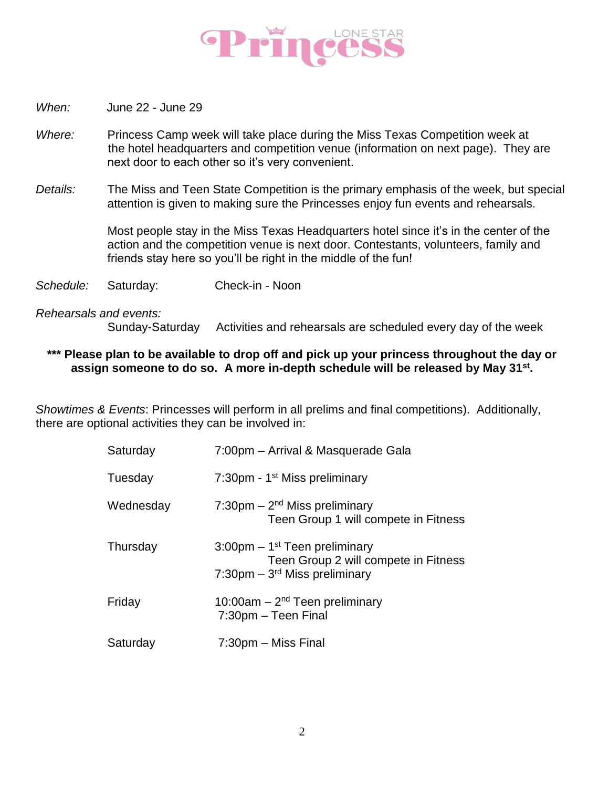

- *When:* June 22 June 29
- *Where:* Princess Camp week will take place during the Miss Texas Competition week at the hotel headquarters and competition venue (information on next page). They are next door to each other so it's very convenient.
- *Details:* The Miss and Teen State Competition is the primary emphasis of the week, but special attention is given to making sure the Princesses enjoy fun events and rehearsals.

Most people stay in the Miss Texas Headquarters hotel since it's in the center of the action and the competition venue is next door. Contestants, volunteers, family and friends stay here so you'll be right in the middle of the fun!

*Schedule:* Saturday: Check-in - Noon

*Rehearsals and events:*

Sunday-Saturday Activities and rehearsals are scheduled every day of the week

#### **\*\*\* Please plan to be available to drop off and pick up your princess throughout the day or assign someone to do so. A more in-depth schedule will be released by May 31st .**

*Showtimes & Events*: Princesses will perform in all prelims and final competitions). Additionally, there are optional activities they can be involved in:

| Saturday  | 7:00pm - Arrival & Masquerade Gala                                                                                                  |
|-----------|-------------------------------------------------------------------------------------------------------------------------------------|
| Tuesday   | 7:30pm - 1 <sup>st</sup> Miss preliminary                                                                                           |
| Wednesday | 7:30pm $-2nd$ Miss preliminary<br>Teen Group 1 will compete in Fitness                                                              |
| Thursday  | $3:00$ pm – 1 <sup>st</sup> Teen preliminary<br>Teen Group 2 will compete in Fitness<br>7:30pm $-$ 3 <sup>rd</sup> Miss preliminary |
| Friday    | 10:00am $-2nd$ Teen preliminary<br>7:30pm - Teen Final                                                                              |
| Saturday  | 7:30pm - Miss Final                                                                                                                 |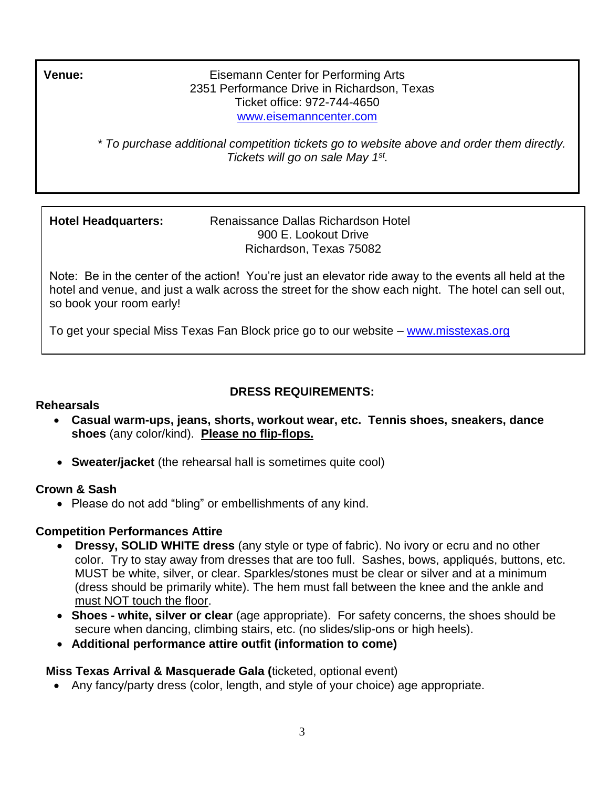H 2351 Performance Drive in Richardson, Texas o Ticket office: 972-744-4650 ر<br>+ www.eisemanncenter.co<mark>m</mark> **Venue:** Eisemann Center for Performing Arts

> l *\* To purchase additional competition tickets go to website above and order them directly.*  H  *Tickets will go on sale May 1st .*

> > a d

R

Hotel Headquarters: Renaissance Dallas Richardson Hotel 900 E. Lookout Drive a Richardson, Texas 75082

Note: Be in the center of the action! You're just an elevator ride away to the events all held at the hotel and venue, and just a walk across the street for the show each night. The hotel can sell out, so book your room early!

To get your special Miss Texas Fan Block price go to our website – [www.misstexas.org](http://www.misstexas.org/)

#### **DRESS REQUIREMENTS:** n a

## **Rehearsals**

- **Casual warm-ups, jeans, shorts, workout wear, etc. Tennis shoes, sneakers, dance**  i **shoes** (any color/kind). **Please no flip-flops.** s
- **Sweater/jacket** (the rehearsal hall is sometimes quite cool) **a** n

### **Crown & Sash**

• Please do not add "bling" or embellishments of any kind.

### **Competition Performances Attire**

- **Dressy, SOLID WHITE dress** (any style or type of fabric). No ivory or ecru and no other color. Try to stay away from dresses that are too full. Sashes, bows, appliqués, buttons, etc. l MUST be white, silver, or clear. Sparkles/stones must be clear or silver and at a minimum a (dress should be primarily white). The hem must fall between the knee and the ankle and s must NOT touch the floor. a l<br>.
- **Shoes - white, silver or clear** (age appropriate). For safety concerns, the shoes should be R secure when dancing, climbing stairs, etc. (no slides/slip-ons or high heels). i
- **Additional performance attire outfit (information to come)**

## **Miss Texas Arrival & Masquerade Gala (ticketed, optional event)**

• Any fancy/party dress (color, length, and style of your choice) age appropriate.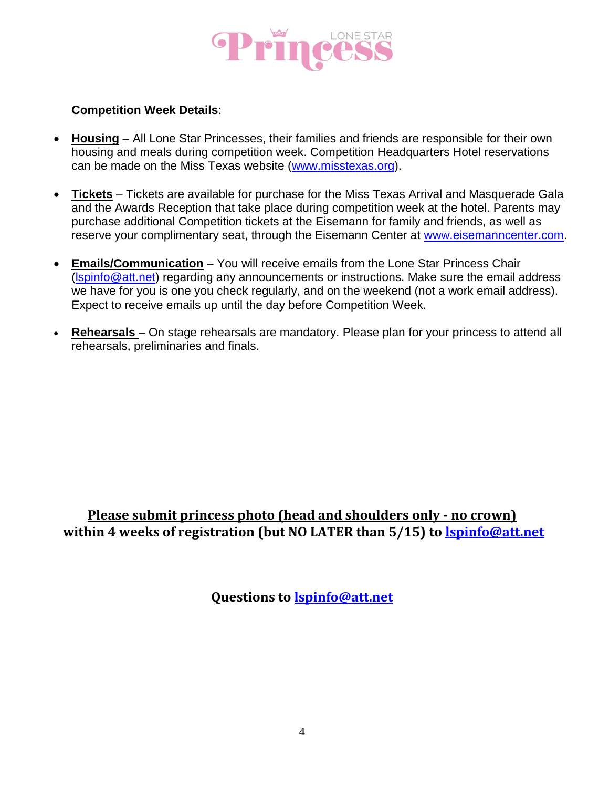

#### **Competition Week Details**:

- **Housing** All Lone Star Princesses, their families and friends are responsible for their own housing and meals during competition week. Competition Headquarters Hotel reservations can be made on the Miss Texas website [\(www.misstexas.org\)](http://www.misstexas.org/).
- **Tickets** Tickets are available for purchase for the Miss Texas Arrival and Masquerade Gala and the Awards Reception that take place during competition week at the hotel. Parents may purchase additional Competition tickets at the Eisemann for family and friends, as well as reserve your complimentary seat, through the Eisemann Center at [www.eisemanncenter.com.](http://www.eisemanncenter.com/)
- **Emails/Communication** You will receive emails from the Lone Star Princess Chair [\(lspinfo@att.net\)](mailto:lspinfo@att.net) regarding any announcements or instructions. Make sure the email address we have for you is one you check regularly, and on the weekend (not a work email address). Expect to receive emails up until the day before Competition Week.
- **Rehearsals**  On stage rehearsals are mandatory. Please plan for your princess to attend all rehearsals, preliminaries and finals.

## **Please submit princess photo (head and shoulders only - no crown) within 4 weeks of registration (but NO LATER than 5/15) to [lspinfo@att.net](mailto:lspinfo@att.net)**

**Questions to [lspinfo@att.net](mailto:lspinfo@att.net)**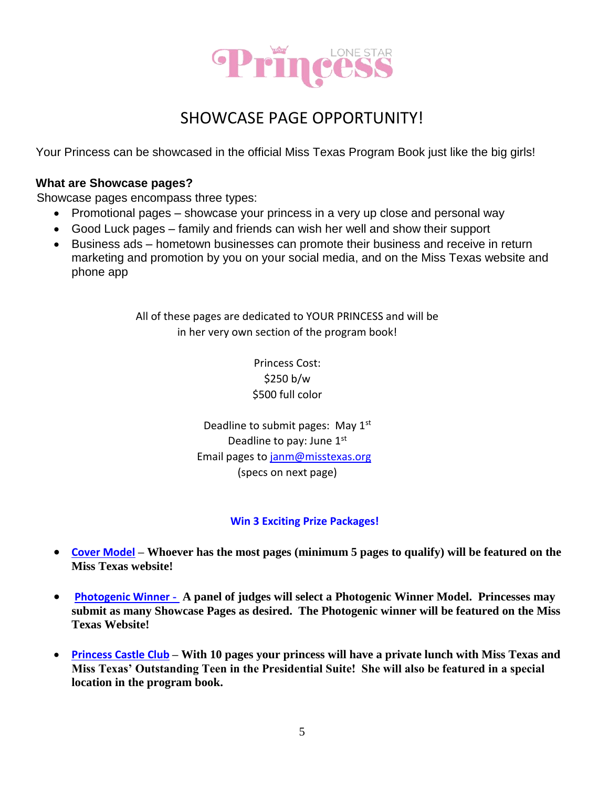

# SHOWCASE PAGE OPPORTUNITY!

Your Princess can be showcased in the official Miss Texas Program Book just like the big girls!

#### **What are Showcase pages?**

Showcase pages encompass three types:

- Promotional pages showcase your princess in a very up close and personal way
- Good Luck pages family and friends can wish her well and show their support
- Business ads hometown businesses can promote their business and receive in return marketing and promotion by you on your social media, and on the Miss Texas website and phone app

All of these pages are dedicated to YOUR PRINCESS and will be in her very own section of the program book!

> Princess Cost: \$250 b/w \$500 full color

Deadline to submit pages: May  $1<sup>st</sup>$ Deadline to pay: June 1st Email pages to [janm@misstexas.org](mailto:janm@misstexas.org) (specs on next page)

### **Win 3 Exciting Prize Packages!**

- **Cover Model – Whoever has the most pages (minimum 5 pages to qualify) will be featured on the Miss Texas website!**
- **Photogenic Winner - A panel of judges will select a Photogenic Winner Model. Princesses may submit as many Showcase Pages as desired. The Photogenic winner will be featured on the Miss Texas Website!**
- **Princess Castle Club – With 10 pages your princess will have a private lunch with Miss Texas and Miss Texas' Outstanding Teen in the Presidential Suite! She will also be featured in a special location in the program book.**